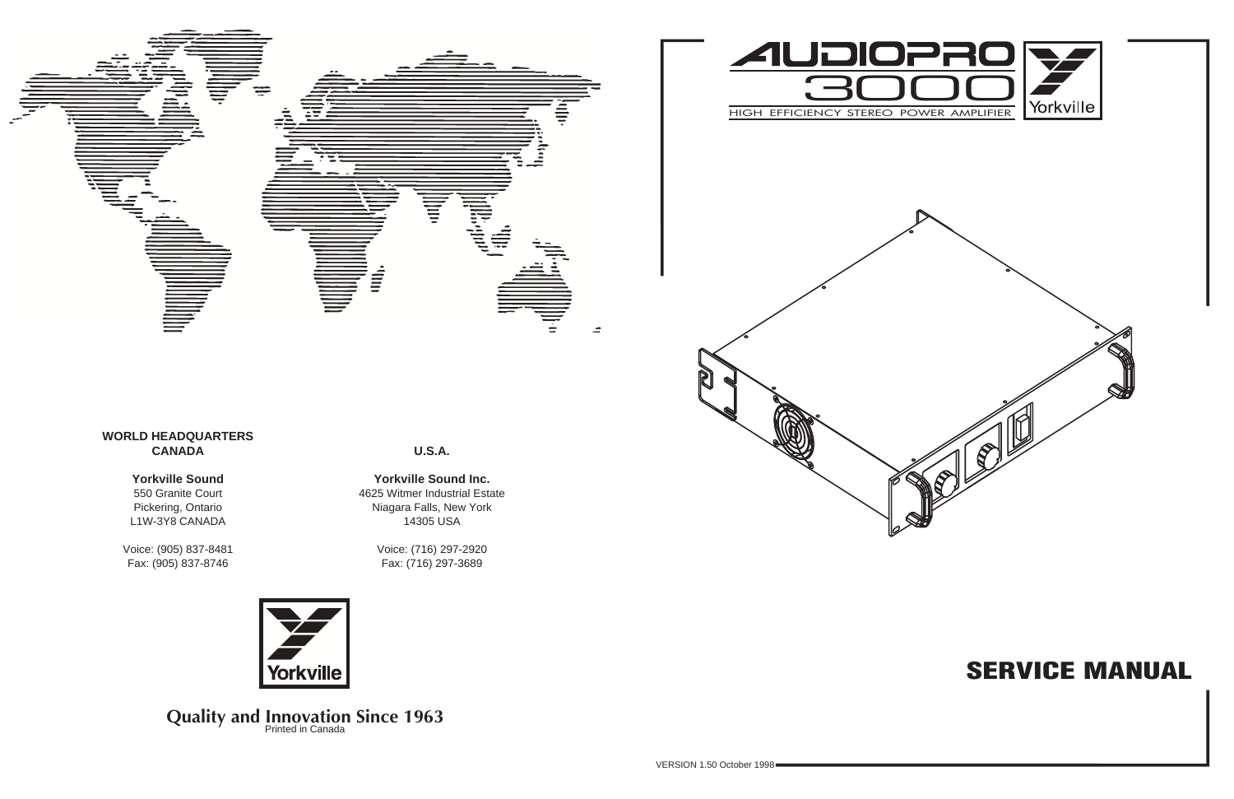# **SERVICE MANUAL**







**Yorkville Sound Inc.** 4625 Witmer Industrial Estate Niagara Falls, New York 14305 USA

> Voice: (716) 297-2920 Fax: (716) 297-3689



**Quality and Innovation Since 1963** 



### **WORLD HEADQUARTERS CANADA**

### **Yorkville Sound**

550 Granite Court Pickering, Ontario L1W-3Y8 CANADA

Voice: (905) 837-8481 Fax: (905) 837-8746

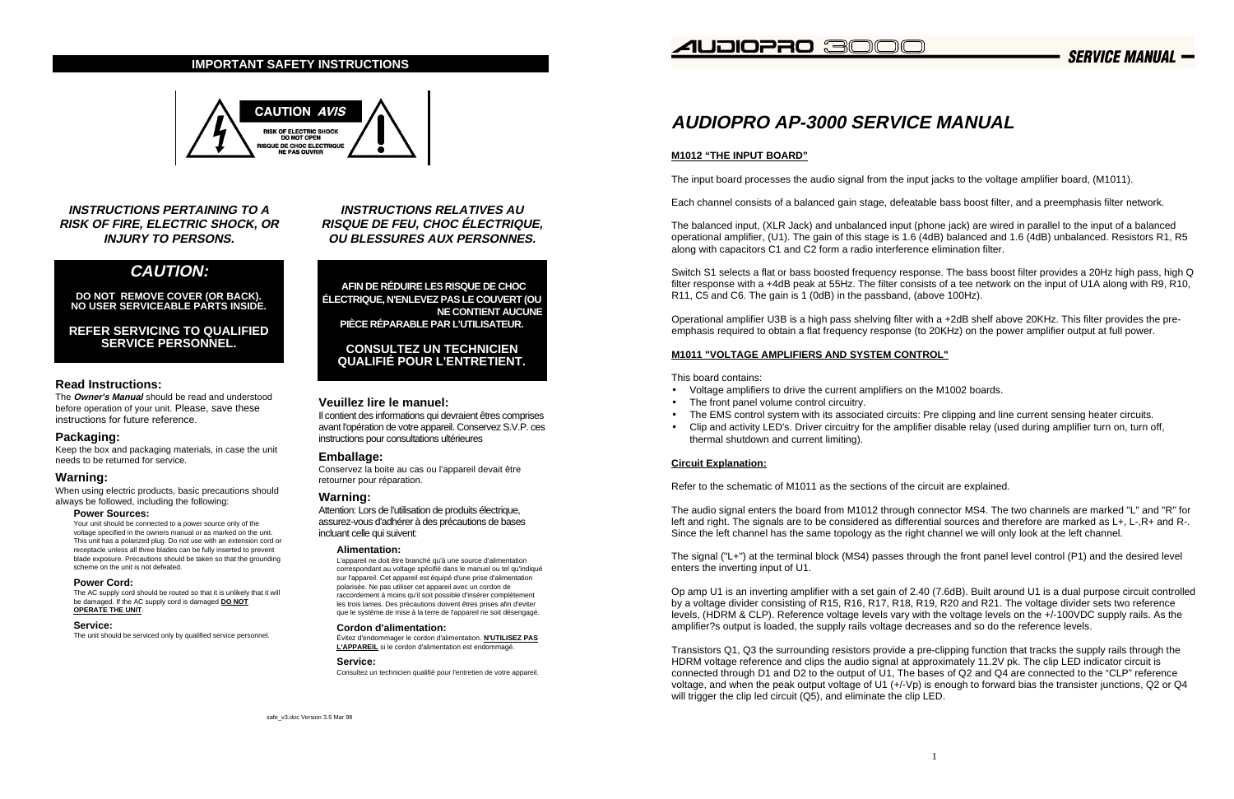# **AUDIOPRO AP-3000 SERVICE MANUAL**

#### **M1012 "THE INPUT BOARD"**

The input board processes the audio signal from the input jacks to the voltage amplifier board, (M1011).

Each channel consists of a balanced gain stage, defeatable bass boost filter, and a preemphasis filter network.

The balanced input, (XLR Jack) and unbalanced input (phone jack) are wired in parallel to the input of a balanced operational amplifier, (U1). The gain of this stage is 1.6 (4dB) balanced and 1.6 (4dB) unbalanced. Resistors R1, R5 along with capacitors C1 and C2 form a radio interference elimination filter.

Switch S1 selects a flat or bass boosted frequency response. The bass boost filter provides a 20Hz high pass, high Q filter response with a +4dB peak at 55Hz. The filter consists of a tee network on the input of U1A along with R9, R10, R11, C5 and C6. The gain is 1 (0dB) in the passband, (above 100Hz).

Operational amplifier U3B is a high pass shelving filter with a +2dB shelf above 20KHz. This filter provides the preemphasis required to obtain a flat frequency response (to 20KHz) on the power amplifier output at full power.

#### **M1011 "VOLTAGE AMPLIFIERS AND SYSTEM CONTROL"**

This board contains:

Transistors Q1, Q3 the surrounding resistors provide a pre-clipping function that tracks the supply rails through the HDRM voltage reference and clips the audio signal at approximately 11.2V pk. The clip LED indicator circuit is connected through D1 and D2 to the output of U1, The bases of Q2 and Q4 are connected to the "CLP" reference voltage, and when the peak output voltage of U1 (+/-Vp) is enough to forward bias the transister junctions, Q2 or Q4 will trigger the clip led circuit (Q5), and eliminate the clip LED.

- Voltage amplifiers to drive the current amplifiers on the M1002 boards.
- The front panel volume control circuitry.
- 
- thermal shutdown and current limiting).

• The EMS control system with its associated circuits: Pre clipping and line current sensing heater circuits. • Clip and activity LED's. Driver circuitry for the amplifier disable relay (used during amplifier turn on, turn off,

#### **Circuit Explanation:**

Refer to the schematic of M1011 as the sections of the circuit are explained.

The audio signal enters the board from M1012 through connector MS4. The two channels are marked "L" and "R" for left and right. The signals are to be considered as differential sources and therefore are marked as L+, L-,R+ and R-. Since the left channel has the same topology as the right channel we will only look at the left channel.

The signal ("L+") at the terminal block (MS4) passes through the front panel level control (P1) and the desired level enters the inverting input of U1.

Op amp U1 is an inverting amplifier with a set gain of 2.40 (7.6dB). Built around U1 is a dual purpose circuit controlled by a voltage divider consisting of R15, R16, R17, R18, R19, R20 and R21. The voltage divider sets two reference levels, (HDRM & CLP). Reference voltage levels vary with the voltage levels on the +/-100VDC supply rails. As the amplifier?s output is loaded, the supply rails voltage decreases and so do the reference levels.

**INSTRUCTIONS PERTAINING TO A RISK OF FIRE, ELECTRIC SHOCK, OR INJURY TO PERSONS.**

### **CAUTION:**

**DO NOT REMOVE COVER (OR BACK). NO USER SERVICEABLE PARTS INSIDE.**

**REFER SERVICING TO QUALIFIED SERVICE PERSONNEL.**

#### **Read Instructions:**

The **Owner's Manual** should be read and understood before operation of your unit. Please, save these instructions for future reference.

#### **Packaging:**

Keep the box and packaging materials, in case the unit needs to be returned for service.

#### **Warning:**

When using electric products, basic precautions should always be followed, including the following:

#### **Power Sources:**

Your unit should be connected to a power source only of the voltage specified in the owners manual or as marked on the unit. This unit has a polarized plug. Do not use with an extension cord or receptacle unless all three blades can be fully inserted to prevent blade exposure. Precautions should be taken so that the grounding scheme on the unit is not defeated.

#### **Power Cord:**

The AC supply cord should be routed so that it is unlikely that it will be damaged. If the AC supply cord is damaged **DO NOT OPERATE THE UNIT**.

#### **Service:**

The unit should be serviced only by qualified service personnel.

**INSTRUCTIONS RELATIVES AU RISQUE DE FEU, CHOC ÉLECTRIQUE, OU BLESSURES AUX PERSONNES.**

**AFIN DE RÉDUIRE LES RISQUE DE CHOC ÉLECTRIQUE, N'ENLEVEZ PAS LE COUVERT (OU NE CONTIENT AUCUNE PIÈCE RÉPARABLE PAR L'UTILISATEUR.**

#### **CONSULTEZ UN TECHNICIEN QUALIFIÉ POUR L'ENTRETIENT.**

#### **Veuillez lire le manuel:**

Il contient des informations qui devraient êtres comprises avant l'opération de votre appareil. Conservez S.V.P. ces instructions pour consultations ultérieures

#### **Emballage:**

Conservez la boite au cas ou l'appareil devait être retourner pour réparation.

#### **Warning:**

Attention: Lors de l'utilisation de produits électrique, assurez-vous d'adhérer à des précautions de bases incluant celle qui suivent:

#### **Alimentation:**

L'appareil ne doit être branché qu'à une source d'alimentation correspondant au voltage spécifié dans le manuel ou tel qu'indiqué sur l'appareil. Cet appareil est équipé d'une prise d'alimentation polarisée. Ne pas utiliser cet appareil avec un cordon de raccordement à moins qu'il soit possible d'insérer complètement les trois lames. Des précautions doivent êtres prises afin d'eviter que le système de mise à la terre de l'appareil ne soit désengagé.

#### **Cordon d'alimentation:**

Évitez d'endommager le cordon d'alimentation. **N'UTILISEZ PAS L'APPAREIL** si le cordon d'alimentation est endommagé.

#### **Service:**

Consultez un technicien qualifié pour l'entretien de votre appareil.

### *A*UDIOPRO 3000

#### **IMPORTANT SAFETY INSTRUCTIONS**



**SERVICE MANUAL -**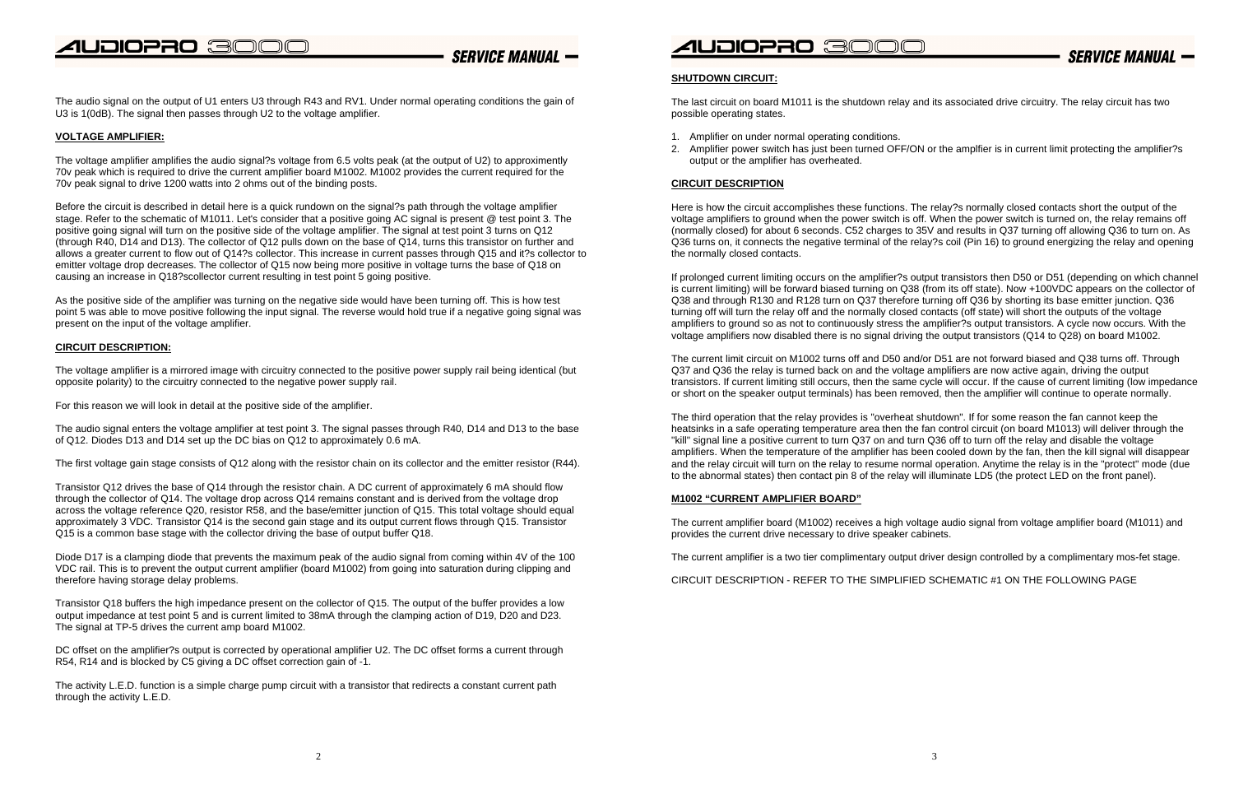### **SERVICE MANUAL -**

The audio signal on the output of U1 enters U3 through R43 and RV1. Under normal operating conditions the gain of U3 is 1(0dB). The signal then passes through U2 to the voltage amplifier.

#### **VOLTAGE AMPLIFIER:**

The voltage amplifier amplifies the audio signal?s voltage from 6.5 volts peak (at the output of U2) to approximently 70v peak which is required to drive the current amplifier board M1002. M1002 provides the current required for the 70v peak signal to drive 1200 watts into 2 ohms out of the binding posts.

Before the circuit is described in detail here is a quick rundown on the signal?s path through the voltage amplifier stage. Refer to the schematic of M1011. Let's consider that a positive going AC signal is present @ test point 3. The positive going signal will turn on the positive side of the voltage amplifier. The signal at test point 3 turns on Q12 (through R40, D14 and D13). The collector of Q12 pulls down on the base of Q14, turns this transistor on further and allows a greater current to flow out of Q14?s collector. This increase in current passes through Q15 and it?s collector to emitter voltage drop decreases. The collector of Q15 now being more positive in voltage turns the base of Q18 on causing an increase in Q18?scollector current resulting in test point 5 going positive.

As the positive side of the amplifier was turning on the negative side would have been turning off. This is how test point 5 was able to move positive following the input signal. The reverse would hold true if a negative going signal was present on the input of the voltage amplifier.

#### **CIRCUIT DESCRIPTION:**

The voltage amplifier is a mirrored image with circuitry connected to the positive power supply rail being identical (but opposite polarity) to the circuitry connected to the negative power supply rail.

DC offset on the amplifier?s output is corrected by operational amplifier U2. The DC offset forms a current through R54, R14 and is blocked by C5 giving a DC offset correction gain of -1.

For this reason we will look in detail at the positive side of the amplifier.

The audio signal enters the voltage amplifier at test point 3. The signal passes through R40, D14 and D13 to the base of Q12. Diodes D13 and D14 set up the DC bias on Q12 to approximately 0.6 mA.

The first voltage gain stage consists of Q12 along with the resistor chain on its collector and the emitter resistor (R44).

If prolonged current limiting occurs on the amplifier?s output transistors then D50 or D51 (depending on which channel is current limiting) will be forward biased turning on Q38 (from its off state). Now +100VDC appears on the collector of Q38 and through R130 and R128 turn on Q37 therefore turning off Q36 by shorting its base emitter junction. Q36 turning off will turn the relay off and the normally closed contacts (off state) will short the outputs of the voltage amplifiers to ground so as not to continuously stress the amplifier?s output transistors. A cycle now occurs. With the voltage amplifiers now disabled there is no signal driving the output transistors (Q14 to Q28) on board M1002.

Transistor Q12 drives the base of Q14 through the resistor chain. A DC current of approximately 6 mA should flow through the collector of Q14. The voltage drop across Q14 remains constant and is derived from the voltage drop across the voltage reference Q20, resistor R58, and the base/emitter junction of Q15. This total voltage should equal approximately 3 VDC. Transistor Q14 is the second gain stage and its output current flows through Q15. Transistor Q15 is a common base stage with the collector driving the base of output buffer Q18.

Diode D17 is a clamping diode that prevents the maximum peak of the audio signal from coming within 4V of the 100 VDC rail. This is to prevent the output current amplifier (board M1002) from going into saturation during clipping and therefore having storage delay problems.

Transistor Q18 buffers the high impedance present on the collector of Q15. The output of the buffer provides a low output impedance at test point 5 and is current limited to 38mA through the clamping action of D19, D20 and D23. The signal at TP-5 drives the current amp board M1002.

The activity L.E.D. function is a simple charge pump circuit with a transistor that redirects a constant current path through the activity L.E.D.

### *A*UDIOPRO 300

#### **SHUTDOWN CIRCUIT:**

The last circuit on board M1011 is the shutdown relay and its associated drive circuitry. The relay circuit has two possible operating states.

- 1. Amplifier on under normal operating conditions.
- output or the amplifier has overheated.

2. Amplifier power switch has just been turned OFF/ON or the amplfier is in current limit protecting the amplifier?s

#### **CIRCUIT DESCRIPTION**

Here is how the circuit accomplishes these functions. The relay?s normally closed contacts short the output of the voltage amplifiers to ground when the power switch is off. When the power switch is turned on, the relay remains off (normally closed) for about 6 seconds. C52 charges to 35V and results in Q37 turning off allowing Q36 to turn on. As Q36 turns on, it connects the negative terminal of the relay?s coil (Pin 16) to ground energizing the relay and opening the normally closed contacts.

The current limit circuit on M1002 turns off and D50 and/or D51 are not forward biased and Q38 turns off. Through Q37 and Q36 the relay is turned back on and the voltage amplifiers are now active again, driving the output transistors. If current limiting still occurs, then the same cycle will occur. If the cause of current limiting (low impedance or short on the speaker output terminals) has been removed, then the amplifier will continue to operate normally.

The third operation that the relay provides is "overheat shutdown". If for some reason the fan cannot keep the heatsinks in a safe operating temperature area then the fan control circuit (on board M1013) will deliver through the "kill" signal line a positive current to turn Q37 on and turn Q36 off to turn off the relay and disable the voltage amplifiers. When the temperature of the amplifier has been cooled down by the fan, then the kill signal will disappear and the relay circuit will turn on the relay to resume normal operation. Anytime the relay is in the "protect" mode (due to the abnormal states) then contact pin 8 of the relay will illuminate LD5 (the protect LED on the front panel).

#### **M1002 "CURRENT AMPLIFIER BOARD"**

The current amplifier board (M1002) receives a high voltage audio signal from voltage amplifier board (M1011) and provides the current drive necessary to drive speaker cabinets.

The current amplifier is a two tier complimentary output driver design controlled by a complimentary mos-fet stage.

CIRCUIT DESCRIPTION - REFER TO THE SIMPLIFIED SCHEMATIC #1 ON THE FOLLOWING PAGE

**SERVICE MANIJAL**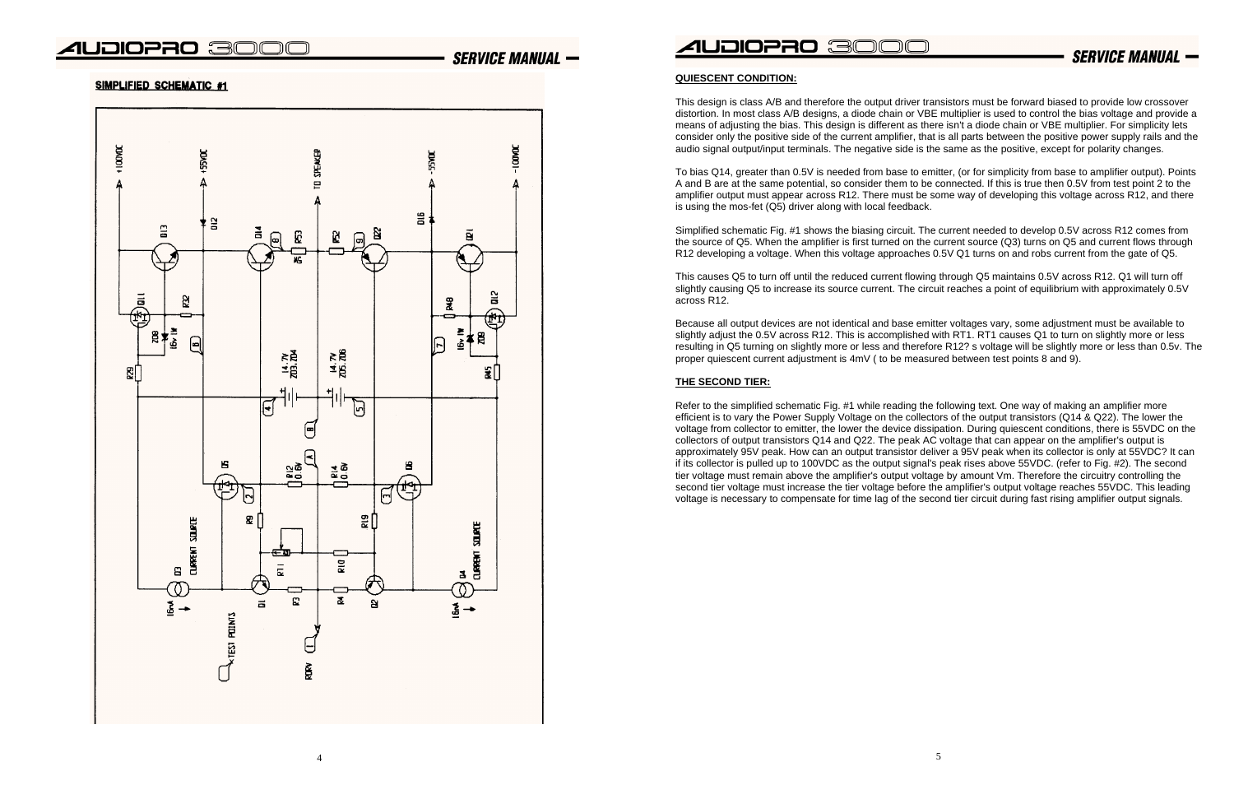### **SERVICE MANUAL -**

#### SIMPLIFIED SCHEMATIC #1



4

### *A*UDIOPRO 3000

#### **QUIESCENT CONDITION:**

This design is class A/B and therefore the output driver transistors must be forward biased to provide low crossover distortion. In most class A/B designs, a diode chain or VBE multiplier is used to control the bias voltage and provide a means of adjusting the bias. This design is different as there isn't a diode chain or VBE multiplier. For simplicity lets consider only the positive side of the current amplifier, that is all parts between the positive power supply rails and the audio signal output/input terminals. The negative side is the same as the positive, except for polarity changes.

To bias Q14, greater than 0.5V is needed from base to emitter, (or for simplicity from base to amplifier output). Points A and B are at the same potential, so consider them to be connected. If this is true then 0.5V from test point 2 to the amplifier output must appear across R12. There must be some way of developing this voltage across R12, and there is using the mos-fet (Q5) driver along with local feedback.

Simplified schematic Fig. #1 shows the biasing circuit. The current needed to develop 0.5V across R12 comes from the source of Q5. When the amplifier is first turned on the current source (Q3) turns on Q5 and current flows through R12 developing a voltage. When this voltage approaches 0.5V Q1 turns on and robs current from the gate of Q5.

This causes Q5 to turn off until the reduced current flowing through Q5 maintains 0.5V across R12. Q1 will turn off slightly causing Q5 to increase its source current. The circuit reaches a point of equilibrium with approximately 0.5V across R12.

Because all output devices are not identical and base emitter voltages vary, some adjustment must be available to slightly adjust the 0.5V across R12. This is accomplished with RT1. RT1 causes Q1 to turn on slightly more or less resulting in Q5 turning on slightly more or less and therefore R12? s voltage will be slightly more or less than 0.5v. The proper quiescent current adjustment is 4mV ( to be measured between test points 8 and 9).

#### **THE SECOND TIER:**

Refer to the simplified schematic Fig. #1 while reading the following text. One way of making an amplifier more efficient is to vary the Power Supply Voltage on the collectors of the output transistors (Q14 & Q22). The lower the voltage from collector to emitter, the lower the device dissipation. During quiescent conditions, there is 55VDC on the collectors of output transistors Q14 and Q22. The peak AC voltage that can appear on the amplifier's output is approximately 95V peak. How can an output transistor deliver a 95V peak when its collector is only at 55VDC? It can if its collector is pulled up to 100VDC as the output signal's peak rises above 55VDC. (refer to Fig. #2). The second tier voltage must remain above the amplifier's output voltage by amount Vm. Therefore the circuitry controlling the second tier voltage must increase the tier voltage before the amplifier's output voltage reaches 55VDC. This leading voltage is necessary to compensate for time lag of the second tier circuit during fast rising amplifier output signals.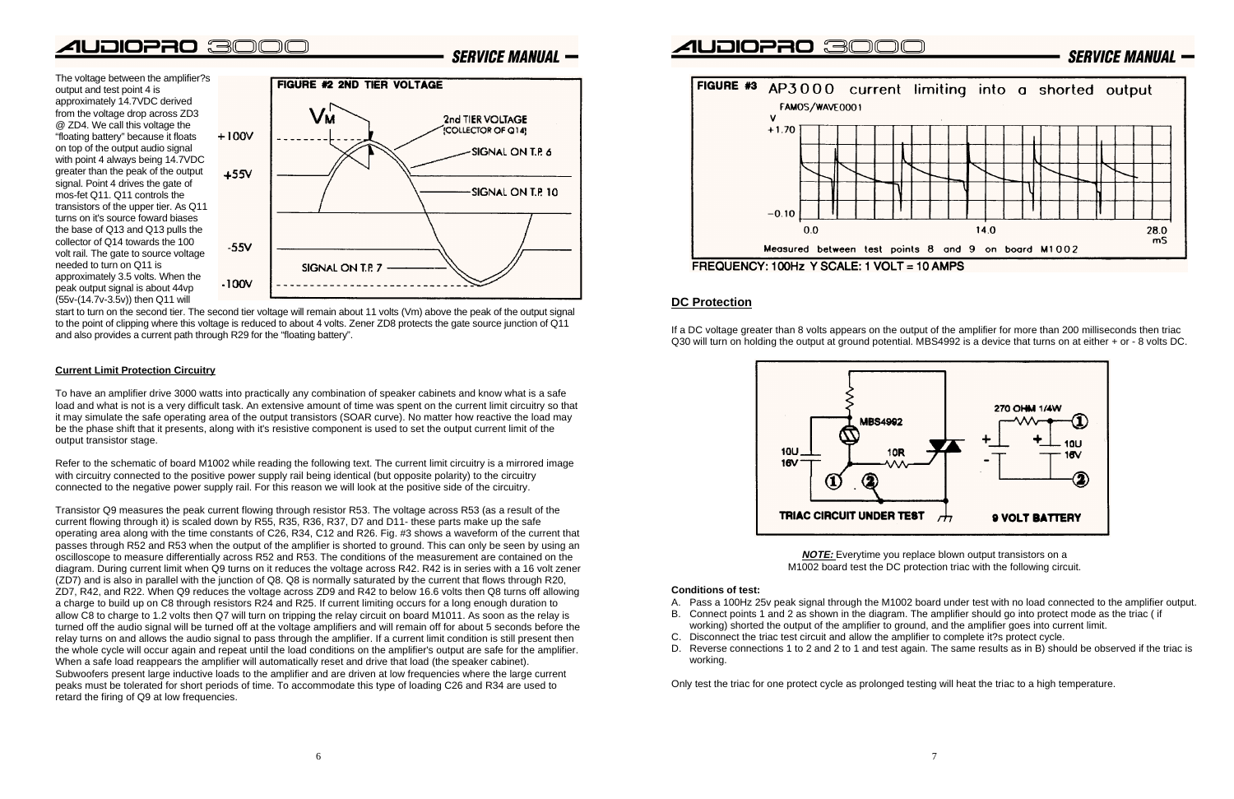The voltage between the amplifier?s output and test point 4 is approximately 14.7VDC derived from the voltage drop across ZD3 @ ZD4. We call this voltage the "floating battery" because it floats on top of the output audio signal with point 4 always being 14.7VDC greater than the peak of the output signal. Point 4 drives the gate of mos-fet Q11. Q11 controls thetransistors of the upper tier. As Q11 turns on it's source foward biasesthe base of Q13 and Q13 pulls the collector of Q14 towards the 100volt rail. The gate to source voltage needed to turn on Q11 is approximately 3.5 volts. When the peak output signal is about 44vp (55v-(14.7v-3.5v)) then Q11 will



**SERVICE MANUAL -**

start to turn on the second tier. The second tier voltage will remain about 11 volts (Vm) above the peak of the output signal to the point of clipping where this voltage is reduced to about 4 volts. Zener ZD8 protects the gate source junction of Q11 and also provides a current path through R29 for the "floating battery".

#### **Current Limit Protection Circuitry**

To have an amplifier drive 3000 watts into practically any combination of speaker cabinets and know what is a safe load and what is not is a very difficult task. An extensive amount of time was spent on the current limit circuitry so that it may simulate the safe operating area of the output transistors (SOAR curve). No matter how reactive the load may be the phase shift that it presents, along with it's resistive component is used to set the output current limit of the output transistor stage.

Refer to the schematic of board M1002 while reading the following text. The current limit circuitry is a mirrored image with circuitry connected to the positive power supply rail being identical (but opposite polarity) to the circuitry connected to the negative power supply rail. For this reason we will look at the positive side of the circuitry.

Transistor Q9 measures the peak current flowing through resistor R53. The voltage across R53 (as a result of the current flowing through it) is scaled down by R55, R35, R36, R37, D7 and D11- these parts make up the safe operating area along with the time constants of C26, R34, C12 and R26. Fig. #3 shows a waveform of the current that passes through R52 and R53 when the output of the amplifier is shorted to ground. This can only be seen by using an oscilloscope to measure differentially across R52 and R53. The conditions of the measurement are contained on the diagram. During current limit when Q9 turns on it reduces the voltage across R42. R42 is in series with a 16 volt zener (ZD7) and is also in parallel with the junction of Q8. Q8 is normally saturated by the current that flows through R20, ZD7, R42, and R22. When Q9 reduces the voltage across ZD9 and R42 to below 16.6 volts then Q8 turns off allowing a charge to build up on C8 through resistors R24 and R25. If current limiting occurs for a long enough duration to allow C8 to charge to 1.2 volts then Q7 will turn on tripping the relay circuit on board M1011. As soon as the relay is turned off the audio signal will be turned off at the voltage amplifiers and will remain off for about 5 seconds before the relay turns on and allows the audio signal to pass through the amplifier. If a current limit condition is still present then the whole cycle will occur again and repeat until the load conditions on the amplifier's output are safe for the amplifier. When a safe load reappears the amplifier will automatically reset and drive that load (the speaker cabinet). Subwoofers present large inductive loads to the amplifier and are driven at low frequencies where the large current peaks must be tolerated for short periods of time. To accommodate this type of loading C26 and R34 are used to retard the firing of Q9 at low frequencies.





#### **DC Protection**

If a DC voltage greater than 8 volts appears on the output of the amplifier for more than 200 milliseconds then triac Q30 will turn on holding the output at ground potential. MBS4992 is a device that turns on at either + or - 8 volts DC.



**NOTE:** Everytime you replace blown output transistors on a M1002 board test the DC protection triac with the following circuit.

#### **Conditions of test:**

A. Pass a 100Hz 25v peak signal through the M1002 board under test with no load connected to the amplifier output. B. Connect points 1 and 2 as shown in the diagram. The amplifier should go into protect mode as the triac ( if

working) shorted the output of the amplifier to ground, and the amplifier goes into current limit.

- 
- 
- C.Disconnect the triac test circuit and allow the amplifier to complete it?s protect cycle.
- working.

D. Reverse connections 1 to 2 and 2 to 1 and test again. The same results as in B) should be observed if the triac is

Only test the triac for one protect cycle as prolonged testing will heat the triac to a high temperature.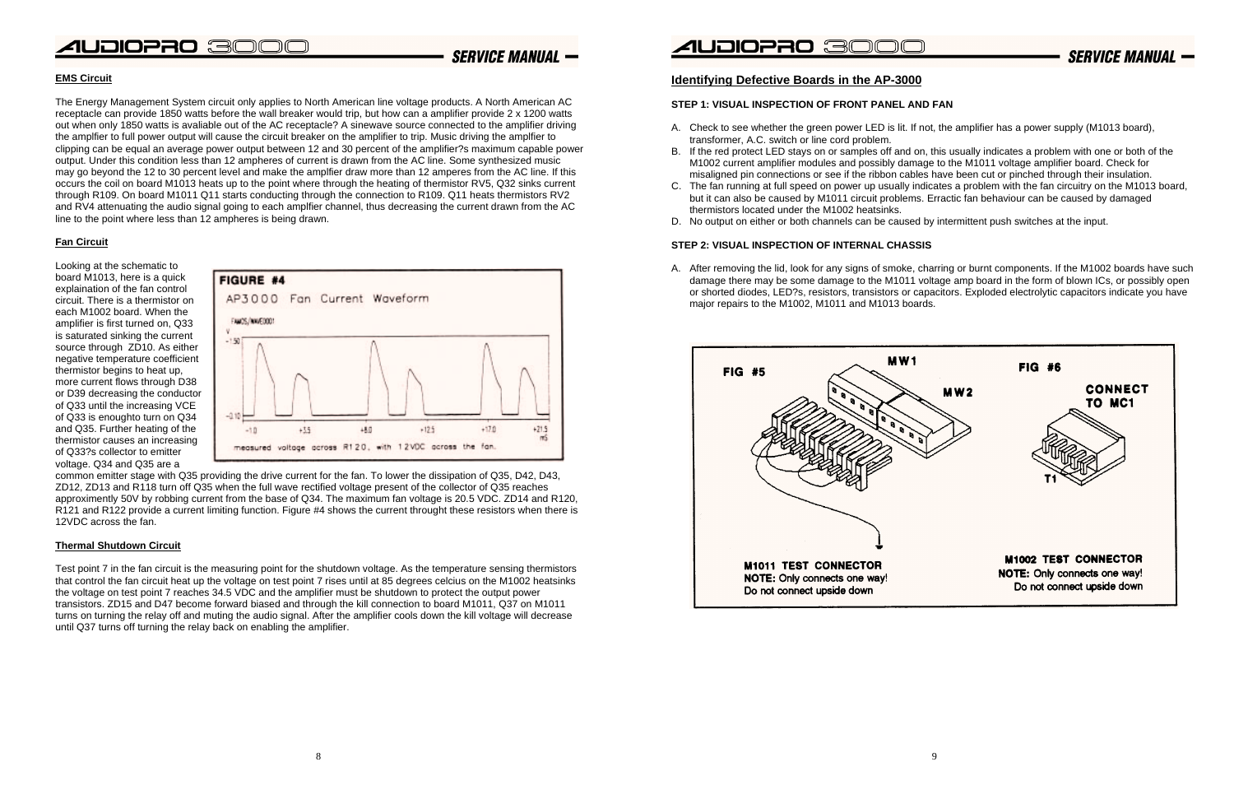### **SERVICE MANUAL -**



#### **EMS Circuit**

The Energy Management System circuit only applies to North American line voltage products. A North American AC receptacle can provide 1850 watts before the wall breaker would trip, but how can a amplifier provide 2 x 1200 watts out when only 1850 watts is avaliable out of the AC receptacle? A sinewave source connected to the amplifier driving the amplfier to full power output will cause the circuit breaker on the amplifier to trip. Music driving the amplfier to clipping can be equal an average power output between 12 and 30 percent of the amplifier?s maximum capable power output. Under this condition less than 12 ampheres of current is drawn from the AC line. Some synthesized music may go beyond the 12 to 30 percent level and make the amplfier draw more than 12 amperes from the AC line. If this occurs the coil on board M1013 heats up to the point where through the heating of thermistor RV5, Q32 sinks current through R109. On board M1011 Q11 starts conducting through the connection to R109. Q11 heats thermistors RV2 and RV4 attenuating the audio signal going to each amplfier channel, thus decreasing the current drawn from the AC line to the point where less than 12 ampheres is being drawn.

#### **Fan Circuit**

Looking at the schematic to board M1013, here is a quick explaination of the fan control circuit. There is a thermistor on each M1002 board. When theamplifier is first turned on, Q33 is saturated sinking the current source through ZD10. As either negative temperature coefficient thermistor begins to heat up, more current flows through D38 or D39 decreasing the conductor of Q33 until the increasing VCE of Q33 is enoughto turn on Q34 and Q35. Further heating of the thermistor causes an increasing of Q33?s collector to emitter voltage. Q34 and Q35 are a



common emitter stage with Q35 providing the drive current for the fan. To lower the dissipation of Q35, D42, D43, ZD12, ZD13 and R118 turn off Q35 when the full wave rectified voltage present of the collector of Q35 reaches approximently 50V by robbing current from the base of Q34. The maximum fan voltage is 20.5 VDC. ZD14 and R120, R121 and R122 provide a current limiting function. Figure #4 shows the current throught these resistors when there is 12VDC across the fan.

#### **Thermal Shutdown Circuit**

Test point 7 in the fan circuit is the measuring point for the shutdown voltage. As the temperature sensing thermistors that control the fan circuit heat up the voltage on test point 7 rises until at 85 degrees celcius on the M1002 heatsinks the voltage on test point 7 reaches 34.5 VDC and the amplifier must be shutdown to protect the output power transistors. ZD15 and D47 become forward biased and through the kill connection to board M1011, Q37 on M1011 turns on turning the relay off and muting the audio signal. After the amplifier cools down the kill voltage will decrease until Q37 turns off turning the relay back on enabling the amplifier.

### **Identifying Defective Boards in the AP-3000**

#### **STEP 1: VISUAL INSPECTION OF FRONT PANEL AND FAN**

A. Check to see whether the green power LED is lit. If not, the amplifier has a power supply (M1013 board),

B. If the red protect LED stays on or samples off and on, this usually indicates a problem with one or both of the M1002 current amplifier modules and possibly damage to the M1011 voltage amplifier board. Check for misaligned pin connections or see if the ribbon cables have been cut or pinched through their insulation. C. The fan running at full speed on power up usually indicates a problem with the fan circuitry on the M1013 board, but it can also be caused by M1011 circuit problems. Erractic fan behaviour can be caused by damaged

- transformer, A.C. switch or line cord problem.
- 
- thermistors located under the M1002 heatsinks.
- D. No output on either or both channels can be caused by intermittent push switches at the input.

#### **STEP 2: VISUAL INSPECTION OF INTERNAL CHASSIS**

A. After removing the lid, look for any signs of smoke, charring or burnt components. If the M1002 boards have such damage there may be some damage to the M1011 voltage amp board in the form of blown ICs, or possibly open or shorted diodes, LED?s, resistors, transistors or capacitors. Exploded electrolytic capacitors indicate you have

major repairs to the M1002, M1011 and M1013 boards.



**SERVICE MANUAL -**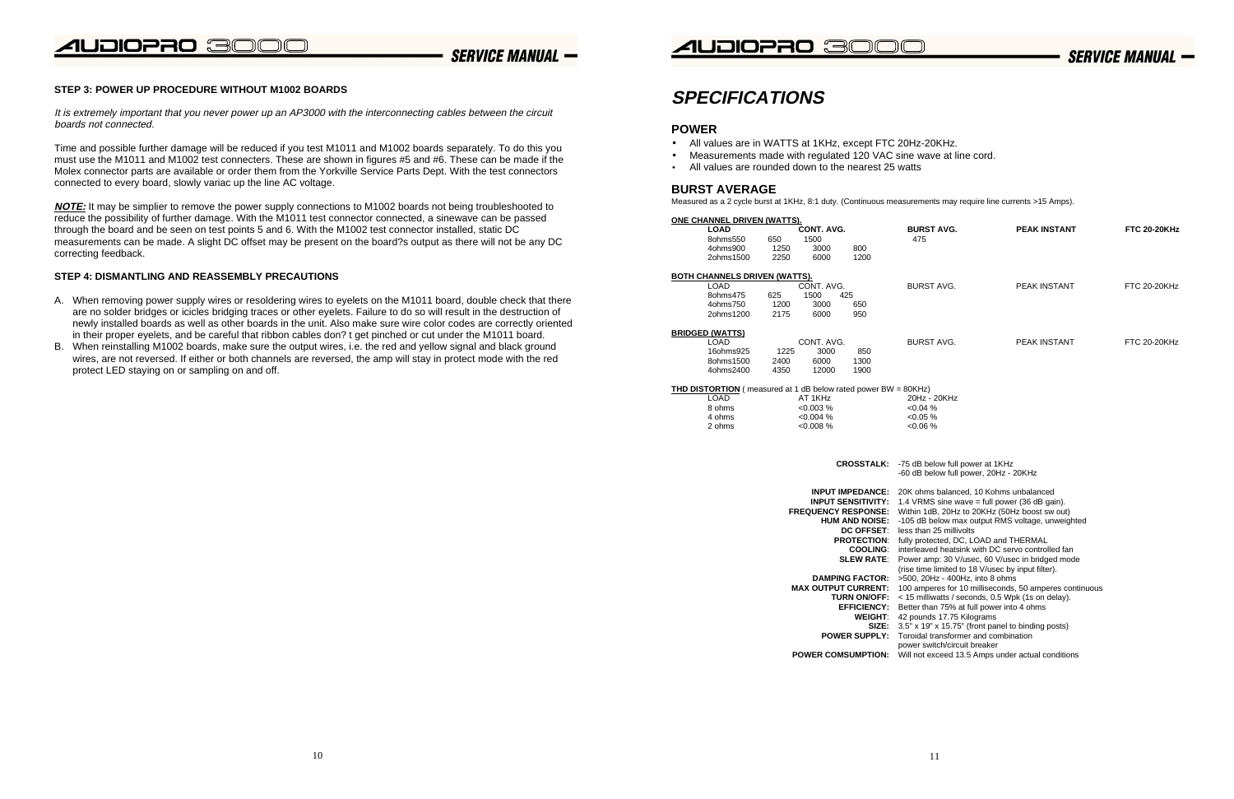## UDIOPRO 300C

### **SERVICE MANUAL -**



### **SERVICE MANUAL -**

#### **STEP 3: POWER UP PROCEDURE WITHOUT M1002 BOARDS**

It is extremely important that you never power up an AP3000 with the interconnecting cables between the circuit boards not connected.

Time and possible further damage will be reduced if you test M1011 and M1002 boards separately. To do this you must use the M1011 and M1002 test connecters. These are shown in figures #5 and #6. These can be made if the Molex connector parts are available or order them from the Yorkville Service Parts Dept. With the test connectors connected to every board, slowly variac up the line AC voltage.

**NOTE:** It may be simplier to remove the power supply connections to M1002 boards not being troubleshooted to reduce the possibility of further damage. With the M1011 test connector connected, a sinewave can be passed through the board and be seen on test points 5 and 6. With the M1002 test connector installed, static DC measurements can be made. A slight DC offset may be present on the board?s output as there will not be any DC correcting feedback.

#### **STEP 4: DISMANTLING AND REASSEMBLY PRECAUTIONS**

- A. When removing power supply wires or resoldering wires to eyelets on the M1011 board, double check that there are no solder bridges or icicles bridging traces or other eyelets. Failure to do so will result in the destruction of newly installed boards as well as other boards in the unit. Also make sure wire color codes are correctly oriented in their proper eyelets, and be careful that ribbon cables don? t get pinched or cut under the M1011 board.
- B. When reinstalling M1002 boards, make sure the output wires, i.e. the red and yellow signal and black ground wires, are not reversed. If either or both channels are reversed, the amp will stay in protect mode with the red protect LED staying on or sampling on and off.

### **SPECIFICATIONS**

#### **POWER**

- All values are in WATTS at 1KHz, except FTC 20Hz-20KHz.
- •Measurements made with regulated 120 VAC sine wave at line cord.
- All values are rounded down to the nearest 25 watts

#### **BURST AVERAGE**

Measured as a 2 cycle burst at 1KHz, 8:1 duty. (Continuous measurements may require line currents >15 Amps).

| ONE CHANNEL DRIVEN (WATTS). |      |            |      |            |  |  |  |  |
|-----------------------------|------|------------|------|------------|--|--|--|--|
| LOAD                        |      | CONT. AVG. |      | <b>BUR</b> |  |  |  |  |
| 80hms550                    | 650  | 1500       |      | 475        |  |  |  |  |
| 4ohms900                    | 1250 | 3000       | 800  |            |  |  |  |  |
| 2ohms1500                   | 2250 | 6000       | 1200 |            |  |  |  |  |

| <b>BOTH CHANNELS DRIVEN (WATTS).</b> |      |      |     |  |  |  |  |
|--------------------------------------|------|------|-----|--|--|--|--|
| CONT. AVG.<br>LOAD.                  |      |      |     |  |  |  |  |
| 8ohms475                             | 625. | 1500 | 425 |  |  |  |  |
| 4ohms750                             | 1200 | 3000 | 650 |  |  |  |  |
| 2ohms1200                            | 2175 | 6000 | 950 |  |  |  |  |

#### **BRIDGED (WATTS)**

| LOAD      |      | CONT. AVG. |      |  |
|-----------|------|------------|------|--|
| 16ohms925 | 1225 | 3000       | 850  |  |
| 8ohms1500 | 2400 | 6000       | 1300 |  |
| 4ohms2400 | 4350 | 12000      | 1900 |  |

#### **THD DISTORTION** ( measured at 1 dB below rated power BW =  $8$

- **INPUT IMPEDANCE: 20 INPUT SENSITIVITY: 1.4**
- **FREQUENCY RESPONSE: W HUM AND NOISE: -10** 
	- **DC OFFSET:** les
	- **PROTECTION:** full
	- **COOLING:** int
	- **SLEW RATE: Power** 
		-
- **DAMPING FACTOR: > 5 MAX OUTPUT CURRENT: 10**<br>TURN ON/OFF:
	- **TURN ON/OFF:**
	- **EFFICIENCY: Better** 
		- **WEIGHT: 42**
		- **SIZE:** 3.5
	- **POWER SUPPLY: To**

| NNEL DRIVEN (WATTS).                                             |      |                   |                                                      |                                                                                            |                                                        |                     |
|------------------------------------------------------------------|------|-------------------|------------------------------------------------------|--------------------------------------------------------------------------------------------|--------------------------------------------------------|---------------------|
| LOAD                                                             |      | <b>CONT. AVG.</b> |                                                      | <b>BURST AVG.</b>                                                                          | <b>PEAK INSTANT</b>                                    | <b>FTC 20-20KHz</b> |
| 8ohms550                                                         | 650  | 1500              |                                                      | 475                                                                                        |                                                        |                     |
| 4ohms900                                                         | 1250 | 3000              | 800                                                  |                                                                                            |                                                        |                     |
| 2ohms1500                                                        | 2250 | 6000              | 1200                                                 |                                                                                            |                                                        |                     |
| ANNELS DRIVEN (WATTS).                                           |      |                   |                                                      |                                                                                            |                                                        |                     |
| LOAD                                                             |      | CONT. AVG.        |                                                      | <b>BURST AVG.</b>                                                                          | <b>PEAK INSTANT</b>                                    | <b>FTC 20-20KHz</b> |
| 8ohms475                                                         | 625  | 1500              | 425                                                  |                                                                                            |                                                        |                     |
| 4ohms750                                                         | 1200 | 3000              | 650                                                  |                                                                                            |                                                        |                     |
| 2ohms1200                                                        | 2175 | 6000              | 950                                                  |                                                                                            |                                                        |                     |
|                                                                  |      |                   |                                                      |                                                                                            |                                                        |                     |
| (WATTS)<br>LOAD                                                  |      | CONT. AVG.        |                                                      | <b>BURST AVG.</b>                                                                          | <b>PEAK INSTANT</b>                                    | <b>FTC 20-20KHz</b> |
| 16ohms925                                                        | 1225 | 3000              | 850                                                  |                                                                                            |                                                        |                     |
| 8ohms1500                                                        | 2400 | 6000              | 1300                                                 |                                                                                            |                                                        |                     |
| 4ohms2400                                                        | 4350 | 12000             | 1900                                                 |                                                                                            |                                                        |                     |
|                                                                  |      |                   |                                                      |                                                                                            |                                                        |                     |
| <b>ORTION</b> (measured at 1 dB below rated power BW = $80KHz$ ) |      |                   |                                                      |                                                                                            |                                                        |                     |
| LOAD                                                             |      | AT 1KHz           |                                                      | 20Hz - 20KHz                                                                               |                                                        |                     |
| 8 ohms                                                           |      | $< 0.003 \%$      |                                                      | $< 0.04 \%$                                                                                |                                                        |                     |
| 4 ohms                                                           |      | $< 0.004 \%$      |                                                      | $< 0.05 \%$                                                                                |                                                        |                     |
| 2 ohms                                                           |      | $< 0.008 \%$      |                                                      | $< 0.06 \%$                                                                                |                                                        |                     |
|                                                                  |      |                   | <b>CROSSTALK:</b>                                    | -75 dB below full power at 1KHz<br>-60 dB below full power, 20Hz - 20KHz                   |                                                        |                     |
|                                                                  |      |                   | <b>INPUT IMPEDANCE:</b><br><b>INPUT SENSITIVITY:</b> | 20K ohms balanced, 10 Kohms unbalanced<br>1.4 VRMS sine wave = full power (36 dB gain).    |                                                        |                     |
|                                                                  |      |                   | <b>FREQUENCY RESPONSE:</b>                           | Within 1dB, 20Hz to 20KHz (50Hz boost sw out)                                              |                                                        |                     |
|                                                                  |      |                   | <b>HUM AND NOISE:</b>                                |                                                                                            | -105 dB below max output RMS voltage, unweighted       |                     |
|                                                                  |      |                   | <b>DC OFFSET.</b>                                    | less than 25 millivolts                                                                    |                                                        |                     |
|                                                                  |      |                   | <b>PROTECTION:</b>                                   | fully protected, DC, LOAD and THERMAL                                                      |                                                        |                     |
|                                                                  |      |                   | <b>COOLING:</b>                                      |                                                                                            | interleaved heatsink with DC servo controlled fan      |                     |
|                                                                  |      |                   | <b>SLEW RATE</b>                                     |                                                                                            | Power amp: 30 V/usec, 60 V/usec in bridged mode        |                     |
|                                                                  |      |                   |                                                      | (rise time limited to 18 V/usec by input filter).                                          |                                                        |                     |
|                                                                  |      |                   | <b>DAMPING FACTOR:</b>                               | >500, 20Hz - 400Hz, into 8 ohms                                                            |                                                        |                     |
|                                                                  |      |                   | <b>MAX OUTPUT CURRENT:</b>                           |                                                                                            | 100 amperes for 10 milliseconds, 50 amperes continuous |                     |
|                                                                  |      |                   | <b>TURN ON/OFF:</b>                                  |                                                                                            | < 15 milliwatts / seconds, 0.5 Wpk (1s on delay).      |                     |
|                                                                  |      |                   | <b>EFFICIENCY:</b>                                   | Better than 75% at full power into 4 ohms                                                  |                                                        |                     |
|                                                                  |      |                   | WEIGHT.                                              | 42 pounds 17.75 Kilograms                                                                  |                                                        |                     |
|                                                                  |      |                   | SIZE:<br><b>POWER SUPPLY:</b>                        | 3.5" x 19" x 15.75" (front panel to binding posts)<br>Toroidal transformer and combination |                                                        |                     |
|                                                                  |      |                   |                                                      | power switch/circuit breaker                                                               |                                                        |                     |
|                                                                  |      |                   | <b>POWER COMSUMPTION:</b>                            |                                                                                            | Will not exceed 13.5 Amps under actual conditions      |                     |
|                                                                  |      |                   |                                                      |                                                                                            |                                                        |                     |
|                                                                  |      |                   |                                                      |                                                                                            |                                                        |                     |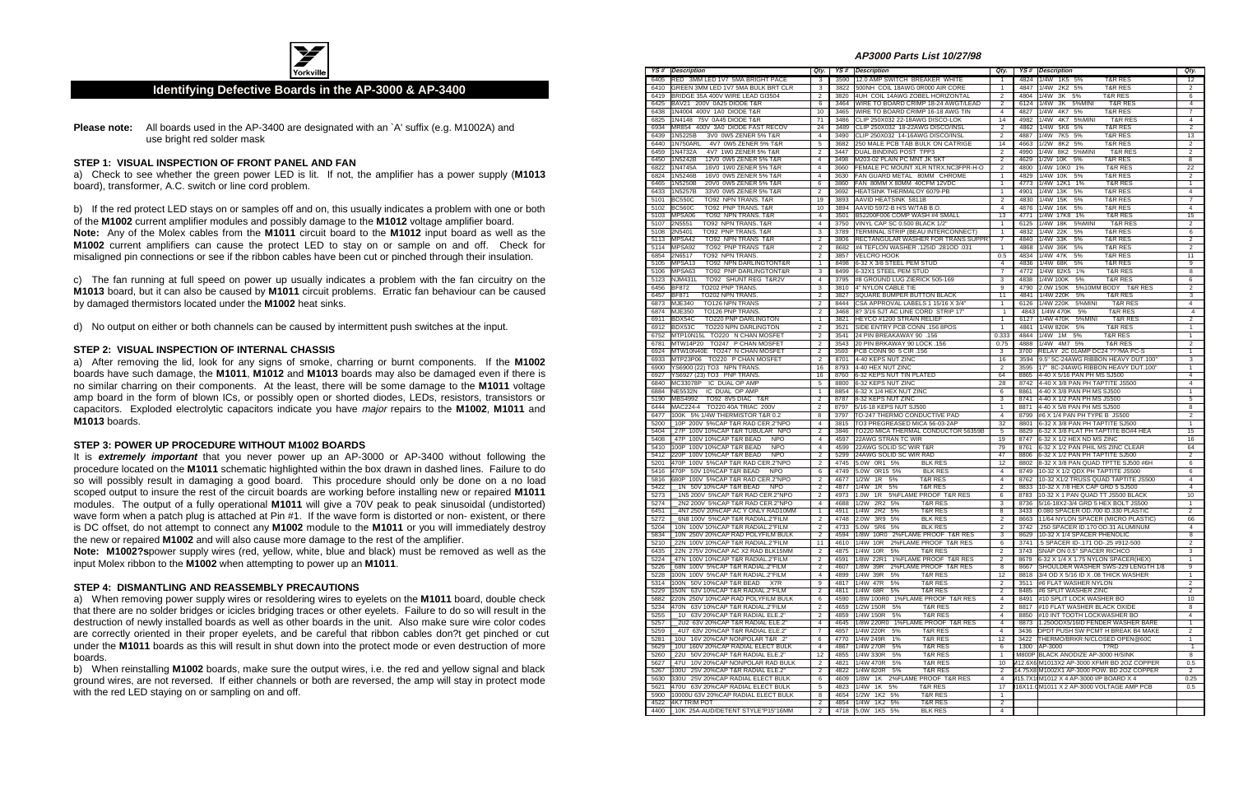

#### **Identifying Defective Boards in the AP-3000 & AP-3400**

**Please note:** All boards used in the AP-3400 are designated with an `A' suffix (e.g. M1002A) and use bright red solder mask

#### **STEP 1: VISUAL INSPECTION OF FRONT PANEL AND FAN**

a) Check to see whether the green power LED is lit. If not, the amplifier has a power supply (**M1013** board), transformer, A.C. switch or line cord problem.

b) If the red protect LED stays on or samples off and on, this usually indicates a problem with one or both of the **M1002** current amplifier modules and possibly damage to the **M1012** voltage amplifier board. **Note:** Any of the Molex cables from the **M1011** circuit board to the **M1012** input board as well as the **M1002** current amplifiers can cause the protect LED to stay on or sample on and off. Check for misaligned pin connections or see if the ribbon cables have been cut or pinched through their insulation.

c) The fan running at full speed on power up usually indicates a problem with the fan circuitry on the **M1013** board, but it can also be caused by **M1011** circuit problems. Erratic fan behaviour can be caused by damaged thermistors located under the **M1002** heat sinks.

d) No output on either or both channels can be caused by intermittent push switches at the input.

#### **STEP 2: VISUAL INSPECTION OF INTERNAL CHASSIS**

**Note: M1002?s** power supply wires (red, yellow, white, blue and black) must be removed as well as the input Molex ribbon to the **M1002** when attempting to power up an **M1011**.

a) After removing the lid, look for any signs of smoke, charring or burnt components. If the **M1002** boards have such damage, the **M1011**, **M1012** and **M1013** boards may also be damaged even if there is no similar charring on their components. At the least, there will be some damage to the **M1011** voltage amp board in the form of blown ICs, or possibly open or shorted diodes, LEDs, resistors, transistors or capacitors. Exploded electrolytic capacitors indicate you have major repairs to the **M1002**, **M1011** and **M1013** boards.

#### **STEP 3: POWER UP PROCEDURE WITHOUT M1002 BOARDS**

It is **extremely important** that you never power up an AP-3000 or AP-3400 without following the procedure located on the **M1011** schematic highlighted within the box drawn in dashed lines. Failure to do so will possibly result in damaging a good board. This procedure should only be done on a no load scoped output to insure the rest of the circuit boards are working before installing new or repaired **M1011** modules. The output of a fully operational **M1011** will give a 70V peak to peak sinusoidal (undistorted) wave form when a patch plug is attached at Pin #1. If the wave form is distorted or non- existent, or there is DC offset, do not attempt to connect any **M1002** module to the **M1011** or you will immediately destroy the new or repaired **M1002** and will also cause more damage to the rest of the amplifier.

#### **STEP 4: DISMANTLING AND REASSEMBLY PRECAUTIONS**

a) When removing power supply wires or resoldering wires to eyelets on the **M1011** board, double check that there are no solder bridges or icicles bridging traces or other eyelets. Failure to do so will result in the destruction of newly installed boards as well as other boards in the unit. Also make sure wire color codes are correctly oriented in their proper eyelets, and be careful that ribbon cables don?t get pinched or cut under the **M1011** boards as this will result in shut down into the protect mode or even destruction of more boards.

b) When reinstalling **M1002** boards, make sure the output wires, i.e. the red and yellow signal and black ground wires, are not reversed. If either channels or both are reversed, the amp will stay in protect mode with the red LED staying on or sampling on and off.

#### **AP3000 Parts List 10/27/98**

|      | <b>YS#</b> Description                    | Qty.           |              | YS# Description                        | Qty.                    |      | YS # Description                           | Qty.              |
|------|-------------------------------------------|----------------|--------------|----------------------------------------|-------------------------|------|--------------------------------------------|-------------------|
| 6405 | RED 3MM LED 1V7 5MA BRIGHT PACE           | 3              | 3590         | 12.0 AMP SWITCH BREAKER WHITE          | 1                       | 4824 | <b>T&amp;R RES</b><br>1/4W 1K5 5%          | $12 \overline{ }$ |
| 6410 | GREEN 3MM LED 1V7 5MA BULK BRT CLR        | 3              | 3822         | 500NH COIL 18AWG 0R000 AIR CORE        | $\overline{1}$          | 4847 | 1/4W 2K2 5%<br><b>T&amp;R RES</b>          | $\overline{2}$    |
| 6419 | BRIDGE 35A 400V WIRE LEAD GI3504          | $\overline{2}$ | 3820         | 4UH COIL 14AWG ZOBEL HORIZONTAL        | $\overline{2}$          | 4804 | 1/4W<br>3K<br>5%<br><b>T&amp;R RES</b>     | 6                 |
| 6425 | BAV21 200V 0A25 DIODE T&R                 | 6              | 3464         | WIRE TO BOARD CRIMP 18-24 AWGT/LEAD    | $\overline{2}$          | 6124 | 1/4W<br>3K<br>5%MINI<br><b>T&amp;R RES</b> | 4                 |
| 6438 | 1N4004 400V 1A0 DIODE T&R                 | 10             | 3465         | WIRE TO BOARD CRIMP 16-18 AWG TIN      | $\overline{4}$          | 4827 | 4K7 5%<br>1/4W<br><b>T&amp;R RES</b>       | $\overline{7}$    |
| 6825 | 1N4148 75V 0A45 DIODE T&R                 | 71             | 3486         | CLIP 250X032 22-18AWG DISCO-LOK        | 14                      | 4982 | 1/4W<br>4K7 5%MINI<br><b>T&amp;R RES</b>   | $\overline{4}$    |
| 6934 | MR854 400V 3A0 DIODE FAST RECOV           | 24             | 3489         | CLIP 250X032 18-22AWG DISCO/INSL       | $\overline{2}$          | 4862 | 1/4W<br>5K6 5%<br><b>T&amp;R RES</b>       | $\overline{2}$    |
| 6439 | 1N5225B<br>3V0 0W5 ZENER 5% T&R           | $\overline{4}$ | 3490         | CLIP 250X032 14-16AWG DISCO/INSL       | $\overline{2}$          | 4887 | 1/4W<br>7K5 5%<br><b>T&amp;R RES</b>       | 13                |
| 6440 | 1N750ARL<br>4V7 0W5 ZENER 5% T&R          | 5              | 3682         | 250 MALE PCB TAB BULK ON CATRIGE       | 14                      | 4663 | 1/2W<br>8K2 5%<br><b>T&amp;R RES</b>       | $\overline{2}$    |
| 6459 | 1N4732A<br>4V7 1W0 ZENER 5% T&R           | $\overline{2}$ | 3447         | DUAL BINDING POST TPP3                 | $\overline{2}$          | 4990 | 1/4W<br>8K2 5%MINI<br><b>T&amp;R RES</b>   | $\overline{2}$    |
| 6450 | 1N5242B<br>12V0 0W5 ZENER 5% T&R          | $\overline{4}$ | 3498         | M203-02 PLAIN PC MNT JK SKT            | $\overline{2}$          | 4629 | 1/2W 10K<br>5%<br><b>T&amp;R RES</b>       | 8                 |
| 6822 | 1N4745A<br>16V0 1W0 ZENER 5% T&R          | $\overline{4}$ | 3660         | FEMALE PC MOUNT XLR NTRX.NC3FPR-H-O    | $\overline{2}$          | 4800 | 1/4W 10K0 1%<br><b>T&amp;R RES</b>         | 22                |
| 6824 | 1N5246B<br>16V0 0W5 ZENER 5% T&R          | $\overline{4}$ | 3630         | FAN GUARD METAL 80MM CHROME            | $\mathbf{1}$            | 4829 | 1/4W 10K<br>5%<br><b>T&amp;R RES</b>       | $\overline{2}$    |
| 6465 | 1N5250B<br>20V0 0W5 ZENER 5% T&R          | 6              | 3860         | FAN 80MM X 80MM 40CFM 12VDC            | $\mathbf{1}$            | 4773 | 1/4W 12K1 1%<br><b>T&amp;R RES</b>         | $\mathbf{1}$      |
| 6433 | 1N5257B<br>33V0 0W5 ZENER 5% T&R          | $\overline{2}$ | 3692         | HEATSINK THERMALOY 6079-PB             | $\mathbf{1}$            | 4901 | 1/4W 13K<br>5%<br><b>T&amp;R RES</b>       | 4                 |
| 5101 | <b>BC550C</b><br>TO92 NPN TRANS. T&R      | 19             | 3893         | AAVID HEATSINK 5811B                   | $\overline{2}$          | 4830 | 1/4W 15K<br>5%<br><b>T&amp;R RES</b>       | $\overline{7}$    |
| 5102 | <b>BC560C</b><br>TO92 PNP TRANS. T&R      | 10             | 3894         | AAVID 5972-B H/S W/TAB B.O.            | 4                       | 4876 | 1/4W 16K<br>5%<br><b>T&amp;R RES</b>       | 4                 |
| 5103 | MPSA06<br>TO92 NPN TRANS. T&R             | $\overline{4}$ | 3501         | B52200F006 COMP WASH #4 SMALL          | 13                      | 4771 | 1/4W 17K8 1%<br><b>T&amp;R RES</b>         | 15                |
| 5107 | 2N5551<br>TO92 NPN TRANS. T&R             | $\overline{4}$ | 3750         | VINYL CAP SC 0.500 BLACK 1/2"          | 1                       | 6125 | 1/4W 18K<br>5%MINI<br><b>T&amp;R RES</b>   | $\overline{2}$    |
| 5108 | 2N5401<br>TO92 PNP TRANS. T&R             | 3              | 3789         | TERMINAL STRIP (BEAU INTERCONNECT)     | $\mathbf{1}$            | 4832 | 1/4W 22K<br>5%<br><b>T&amp;R RES</b>       | 6                 |
| 5113 | MPSA42<br>TO92 NPN TRANS T&R              | $\overline{2}$ | 3806         | RECTANGULAR WASHER FOR TRANS SUPPRT    | 7                       | 4840 | 1/4W 33K<br>5%<br><b>T&amp;R RES</b>       | $\overline{2}$    |
| 5114 | MPSA92<br>TO92 PNP TRANS T&R              | $\overline{2}$ | 8682         | #4 TEFLON WASHER .125ID .281OD .031    | $\mathbf{1}$            | 4868 | 1/4W 36K<br>5%<br><b>T&amp;R RES</b>       | $\overline{2}$    |
| 6854 | 2N6517<br>TO92 NPN TRANS                  | $\overline{2}$ | 3857         | <b>VELCRO HOOK</b>                     | 0.5                     | 4834 | 1/4W 47K<br>5%<br><b>T&amp;R RES</b>       | 11                |
| 5105 | MPSA13<br>TO92 NPN DARLINGTONT&R          | $\overline{1}$ | 8498         | 6-32 X 3/8 STEEL PEM STUD              | 4                       | 4836 | 1/4W 68K<br>5%<br><b>T&amp;R RES</b>       | 9                 |
| 5106 | MPSA63<br>TO92 PNP DARLINGTONT&R          | 3              | 8499         | 6-32X1 STEEL PEM STUD                  | 7                       | 4772 | 1/4W 82K5 1%<br><b>T&amp;R RES</b>         | 8                 |
| 5123 | NJM431L<br>TO92 SHUNT REG T&R2V           | 4              | 3795         | #8 GROUND LUG ZIERICK 505-169          | 3                       | 4838 | 1/4W 100K 5%<br><b>T&amp;R RES</b>         | 6                 |
| 6456 | <b>BF872</b><br>TO202 PNP TRANS.          | 3              | 3810         | 4" NYLON CABLE TIE                     | 9                       | 4790 | 2.0W 150K<br>5%10MM BODY T&R RES           | $\overline{2}$    |
| 6457 | <b>BF871</b><br>TO202 NPN TRANS.          | $\overline{2}$ | 3827         | SQUARE BUMPER BUTTON BLACK             | 11                      | 4841 | 1/4W 220K<br>5%<br><b>T&amp;R RES</b>      | 3                 |
| 6873 | <b>MJE340</b><br>TO126 NPN TRANS          | $\overline{2}$ | 8444         | CSA APPROVAL LABELS 1 15/16 X 3/4"     | $\mathbf{1}$            | 6126 | 1/4W 220K<br>5%MINI<br><b>T&amp;R RES</b>  | 4                 |
| 6874 | <b>MJE350</b><br>TO126 PNP TRANS.         | $\overline{2}$ | 3468         | 8? 3/16 SJT AC LINE CORD STRIP 17"     | $\mathbf{1}$            | 4843 | 1/4W 470K 5%<br><b>T&amp;R RES</b>         | $\overline{4}$    |
| 6911 | BDX54C<br>TO220 PNP DARLINGTON            | $\mathbf{1}$   | 3821         | HEYCO #1200 STRAIN RELIEF              | $\mathbf{1}$            | 6127 | 1/4W 470K<br>5%MINI<br><b>T&amp;R RES</b>  | $\overline{2}$    |
| 6912 | BDX53C<br><b>TO220 NPN DARLINGTON</b>     | $\overline{2}$ | 3521         | SIDE ENTRY PCB CONN .156 8POS          | $\mathbf{1}$            | 4861 | 1/4W 820K 5%<br><b>T&amp;R RES</b>         | $\mathbf{1}$      |
| 6752 | MTP10N15L TO220 N CHAN MOSFET             | $\overline{2}$ | 3541         | 24 PIN BREAKAWAY 90 .156               | 0.333                   | 4844 | 1/4W 1M 5%<br><b>T&amp;R RES</b>           | $\mathbf{1}$      |
| 6781 | MTW14P20 TO247 P CHAN MOSFET              | $\overline{2}$ | 3543         | 20 PIN BRKAWAY 90 LOCK .156            | 0.75                    | 4888 | 1/4W 4M7 5%<br><b>T&amp;R RES</b>          | $\overline{2}$    |
|      | MTW10N40E TO247 N CHAN MOSFET             | $\overline{2}$ | 3593         | PCB CONN 90 5 CIR .156                 | 3                       | 3700 | RELAY 2C 01AMP DC24 ???MA PC-S             | $\mathbf{1}$      |
| 6924 |                                           | 2              |              | 4-40 KEPS NUT ZINC                     | 16                      | 3594 | 9.5" 5C-24AWG RIBBON HEAVY DUT.100"        | 3                 |
| 6933 | MTP23P06 TO220 P CHAN MOSFET              | 16             | 8701<br>8793 | 4-40 HEX NUT ZINC                      | $\overline{2}$          | 3595 | 17" 8C-24AWG RIBBON HEAVY DUT.100"         | $\mathbf{1}$      |
| 6900 | YS6900 (22) TO3 NPN TRANS.                |                |              |                                        |                         |      |                                            |                   |
| 6927 | YS6927 (23) TO3 PNP TRANS.                | 16             | 8760         | 6-32 KEPS NUT TIN PLATED               | 64                      | 8865 | 4-40 X 5/16 PAN PH MS SJ500                | 4                 |
| 6840 | MC33078P<br>IC DUAL OP AMP                | 5              | 8800         | 6-32 KEPS NUT ZINC                     | 28                      | 8742 | 4-40 X 3/8 PAN PH TAPTITE JS500            | 4                 |
| 6884 | <b>NE5532N</b><br>IC DUAL OP AMP          | $\mathbf{1}$   | 8854         | 6-32 X 1/4 HEX NUT ZINC                | 6                       | 8861 | 4-40 X 3/8 PAN PH MS SJ500                 | $\mathbf{1}$      |
| 5190 | MBS4992<br>TO92 8V5 DIAC T&R              | $\overline{2}$ | 8787         | 8-32 KEPS NUT ZINC                     | 3                       | 8741 | 4-40 X 1/2 PAN PH MS JS500                 | 5                 |
| 6444 | MAC224-4 TO220 40A TRIAC 200V             | $\overline{2}$ | 8797         | 5/16-18 KEPS NUT SJ500                 | $\mathbf{1}$            | 8871 | 4-40 X 5/8 PAN PH MS SJ500                 | 8                 |
| 6477 | 100K 5% 1/4W THERMISTOR T&R 0.2           | 8              | 3797         | TO-247 THERMO CONDUCTIVE PAD           | $\overline{4}$          | 8799 | #6 X 1/4 PAN PH TYPE B JS500               | $\overline{2}$    |
| 5200 | 10P 200V 5%CAP T&R RAD CER.2"NPO          | $\overline{4}$ | 3815         | TO3 PREGREASED MICA 56-03-2AP          | 32                      | 8801 | 6-32 X 3/8 PAN PH TAPTITE SJ500            | $\mathbf{1}$      |
| 5404 | 27P 100V 10%CAP T&R TUBULAR NPO           | $\overline{2}$ | 3846         | TO220 MICA THERMAL CONDUCTOR 56359B    | 5                       | 8829 | 6-32 X 3/8 FLAT PH TAPTITE BO#4 HEA        | 15                |
| 5408 | 47P 100V 10%CAP T&R BEAD<br><b>NPO</b>    | $\overline{4}$ | 4597         | 22AWG STRAN TC WIR                     | 19                      | 8747 | 6-32 X 1/2 HEX ND MS ZINC                  | 16                |
| 5410 | 100P 100V 10%CAP T&R BEAD<br><b>NPO</b>   | $\overline{4}$ | 4599         | 22AWG SOLID SC WIR T&R                 | 79                      | 8761 | 6-32 X 1/2 PAN PHIL MS ZINC CLEAR          | 64                |
| 5412 | 220P 100V 10%CAP T&R BEAD<br><b>NPO</b>   | $\overline{2}$ | 5299         | 24AWG SOLID SC WIR RAD                 | 47                      | 8806 | 6-32 X 1/2 PAN PH TAPTITE SJ500            | $\overline{c}$    |
| 5201 | 470P 100V 5%CAP T&R RAD CER.2"NPO         | $\overline{2}$ | 4745         | 5.0W 0R1 5%<br><b>BLK RES</b>          | 12                      | 8802 | 8-32 X 3/8 PAN QUAD TPTTE SJ500 #6H        | 6                 |
| 5416 | 470P<br>50V 10%CAP T&R BEAD<br><b>NPO</b> | 6              | 4749         | 5.0W 0R15 5%<br><b>BLK RES</b>         | 4                       | 8749 | 10-32 X 1/2 QDX PH TAPTITE JS500           | 6                 |
| 5816 | 680P 100V 5%CAP T&R RAD CER.2"NPO         | $\overline{2}$ | 4677         | 1/2W 1R 5%<br><b>T&amp;R RES</b>       | $\overline{4}$          | 8762 | 10-32 X1/2 TRUSS QUAD TAPTITE JS500        | 4                 |
| 5422 | 1N 50V 10%CAP T&R BEAD<br><b>NPO</b>      | 2              | 4877         | 1/4W<br>1R<br>5%<br><b>T&amp;R RES</b> | 2                       | 8833 | 10-32 X 7/8 HEX CAP GRD 5 SJ500            | $\overline{4}$    |
| 5273 | 1N5 200V 5%CAP T&R RAD CER.2"NPO          | $\overline{2}$ | 4973         | 1.0W 1R<br>5%FLAME PROOF T&R RES       | 6                       | 8783 | 10-32 X 1 PAN QUAD TT JS500 BLACK          | 10                |
| 5274 | 2N2 200V 5%CAP T&R RAD CER.2"NPO          | $\overline{4}$ | 4688         | 1/2W 2R2 5%<br><b>T&amp;R RES</b>      | 3                       | 8736 | 5/16-18X2-3/4 GRD 5 HEX BOLT JS500         | $\mathbf{1}$      |
| 6451 | 4N7 250V 20%CAP AC Y ONLY RAD10MM         | $\mathbf{1}$   | 4911         | 1/4W 2R2 5%<br><b>T&amp;R RES</b>      | 8                       | 3433 | 0.080 SPACER OD.700 ID.330 PLASTIC         | $\overline{2}$    |
|      | 5272 6N8 100V 5%CAP T&R RADIAL.2"FILM     | 2              |              | 4748 2.0W 3R9 5%<br><b>BLK RES</b>     | 2                       | 8663 | 11/64 NYLON SPACER (MICRO PLASTIC)         | 66                |
| 5204 | 10N 100V 10%CAP T&R RADIAL.2"FILM         | 2              |              | 4733 5.0W 5R6 5%<br><b>BLK RES</b>     | $\overline{2}$          | 3742 | .250 SPACER ID.170 OD.31 ALUMINUM          | $\overline{4}$    |
| 5834 | 10N 250V 20%CAP RAD POLYFILM BULK         | $\overline{2}$ | 4594         | 1/8W 10R0 2%FLAME PROOF T&R RES        | 3                       | 8629 | 10-32 X 1/4 SPACER PHENOLIC                | 8                 |
| 5210 | 22N 100V 10%CAP T&R RADIAL.2"FILM         | 11             | 4610         | 1/4W 10R<br>2%FLAME PROOF T&R RES      | 6                       | 3741 | .5 SPACER ID-.171 OD-.25 #912-500          | 2                 |
| 6435 | 22N 275V 20%CAP AC X2 RAD BLK15MM         | $\overline{2}$ | 4875         | 1/4W 10R 5%<br><b>T&amp;R RES</b>      | 2                       | 3743 | SNAP ON 0.5" SPACER RICHCO                 | 3                 |
| 5224 | 47N 100V 10%CAP T&R RADIAL.2"FILM         | $\overline{2}$ | 4591         | 1/8W 22R1 1%FLAME PROOF T&R RES        | $\overline{2}$          | 8679 | 6-32 X 1/4 X 1.75 NYLON SPACER(HEX)        | $\mathbf{1}$      |
| 5226 | 68N 100V 5%CAP T&R RADIAL.2"FILM          | $\overline{2}$ | 4607         | 1/8W 39R<br>2%FLAME PROOF T&R RES      | 8                       | 8667 | SHOULDER WASHER SWS-229 LENGTH 1/8         | 9                 |
| 5228 | 100N 100V 5%CAP T&R RADIAL.2"FILM         | $\overline{4}$ | 4899         | 1/4W 39R<br>5%<br>T&R RES              | 12                      | 8818 | 3/4 OD X 5/16 ID X .08 THICK WASHER        | $\mathbf{1}$      |
| 5314 | 100N 50V 10%CAP T&R BEAD<br>X7R           | 9              | 4817         | 1/4W 47R 5%<br><b>T&amp;R RES</b>      | $\overline{c}$          | 3511 | #6 FLAT WASHER NYLON                       | $\overline{2}$    |
| 5229 | 150N 63V 10%CAP T&R RADIAL.2"FILM         | $\overline{2}$ | 4811         | <b>T&amp;R RES</b><br>1/4W 68R 5%      | $\overline{2}$          | 8485 | #6 SPLIT WASHER ZINC                       | $\overline{2}$    |
| 5882 | 220N 250V 10%CAP RAD POLYFILM BULK        | 6              | 4590         | 1/8W 100R0 1%FLAME PROOF T&R RES       | 4                       | 8491 | #10 SPLIT LOCK WASHER BO                   | 10                |
| 5234 | 470N 63V 10%CAP T&R RADIAL.2"FILM         | 2              | 4659         | 1/2W 150R 5%<br><b>T&amp;R RES</b>     | 2                       | 8817 | #10 FLAT WASHER BLACK OXIDE                | 8                 |
| 5255 | 63V 20%CAP T&R RADIAL ELE.2"<br>1U        | $\overline{2}$ | 4859         | 1/4W 150R 5%<br><b>T&amp;R RES</b>     | $\overline{4}$          | 8850 | #10 INT TOOTH LOCKWASHER BO                | 4                 |
| 5257 | 2U2 63V 20%CAP T&R RADIAL ELE.2"          | $\overline{4}$ | 4645         | 1/8W 220R0 1%FLAME PROOF T&R RES       | 4                       | 8873 | 1.250ODX5/16ID FENDER WASHER BARE          | $\mathbf{1}$      |
| 5259 | 4U7 63V 20%CAP T&R RADIAL ELE.2"          | 7              | 4857         | 1/4W 220R 5%<br><b>T&amp;R RES</b>     | 4                       | 3436 | <b>DPDT PUSH SW PCMT H BREAK B4 MAKE</b>   | $\overline{2}$    |
| 5281 | "2. 10U 16V 20%CAP NONPOLAR T&R.          | 6              | 4770         | 1/4W 249R 1%<br><b>T&amp;R RES</b>     | 12                      |      | 3422 THERMO/BRKR:N/CLOSED OPEN@60C         | $\mathbf{1}$      |
| 5629 | 10U 160V 20%CAP RADIAL ELECT BULK         | $\overline{4}$ | 4867         | 1/4W 270R 5%<br><b>T&amp;R RES</b>     | 6                       |      | 1300 AP-3000<br>T?RD                       | $\mathbf{1}$      |
| 5260 | 22U 50V 20%CAP T&R RADIAL ELE.2"          | 12             | 4855         | 1/4W 330R 5%<br><b>T&amp;R RES</b>     | $\mathbf{1}$            |      | M800P BLACK ANODIZE AP-3000 H/SINK         | 8                 |
| 5627 | 47U 10V 20%CAP NONPOLAR RAD BULK          | $\overline{2}$ | 4821         | 1/4W 470R 5%<br><b>T&amp;R RES</b>     | 10                      |      | 412.6X6 M1013X2 AP-3000 XFMR BD 2OZ COPPER | 0.5               |
| 5267 | 100U 25V 20%CAP T&R RADIAL ELE.2"         | $\overline{2}$ | 4822         | 1/4W 820R 5%<br>T&R RES                | $\overline{2}$          |      | 14.75X8 M1002X1 AP-3000 POW. BD 2OZ COPPER | $\overline{2}$    |
| 5630 | 330U 25V 20%CAP RADIAL ELECT BULK         | 6              | 4609         | 1/8W 1K 2%FLAME PROOF T&R RES          | $\overline{4}$          |      | 115.7X1(M1012 X 4 AP-3000 I/P BOARD X 4    | 0.25              |
| 5621 | 470U 63V 20%CAP RADIAL ELECT BULK         | 5              | 4823         | 1/4W 1K 5%<br>T&R RES                  | 17                      |      | 16X11.0M1011 X 2 AP-3000 VOLTAGE AMP PCB   | 0.5               |
| 5900 | 10000U 63V 20%CAP RADIAL ELECT BULK       | 8              | 4654         | 1/2W 1K2 5%<br><b>T&amp;R RES</b>      | $\mathbf{1}$            |      |                                            |                   |
|      | 4522 4K7 TRIM POT                         | $\overline{c}$ | 4854         | 1/4W 1K2 5%<br><b>T&amp;R RES</b>      | $\overline{\mathbf{c}}$ |      |                                            |                   |
|      | 4400   10K 25A-AUD/DETENT STYLE"P15"16MM  | $\overline{2}$ |              | <b>BLK RES</b><br>4718 5.0W 1K5 5%     | 4                       |      |                                            |                   |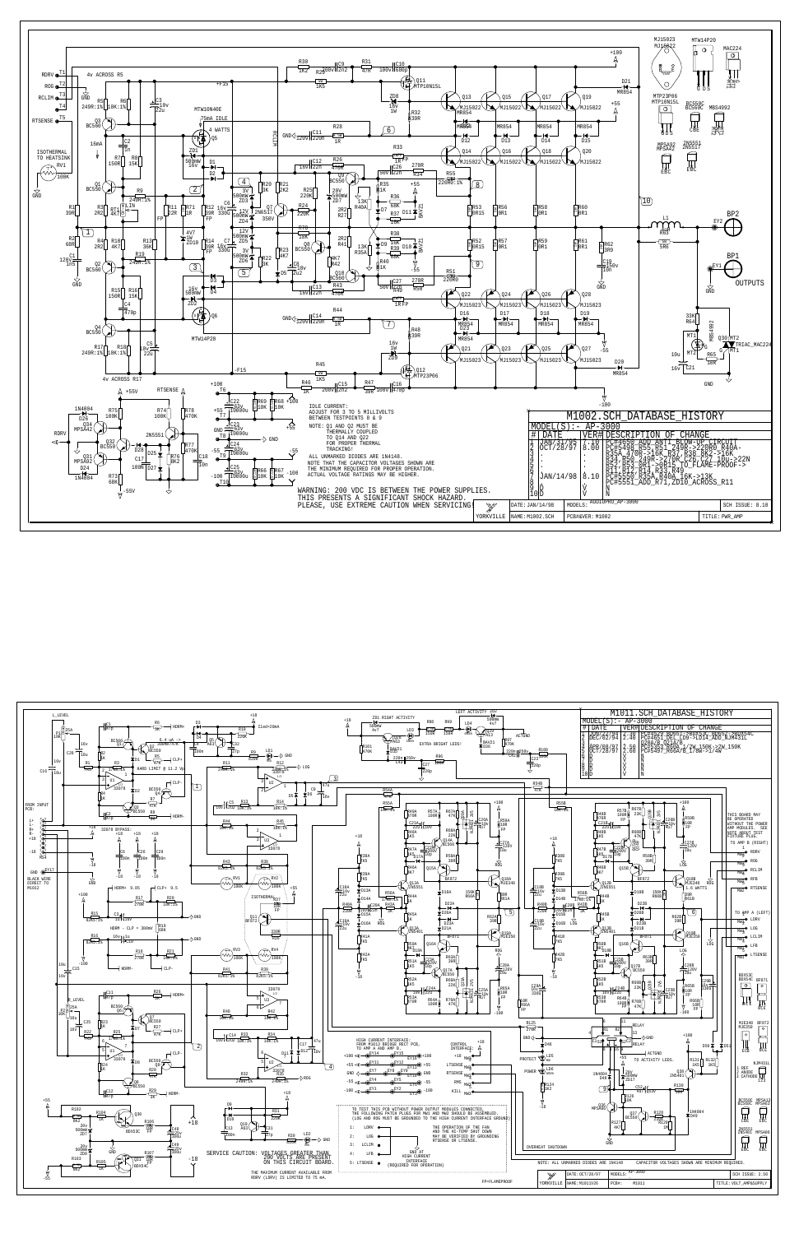

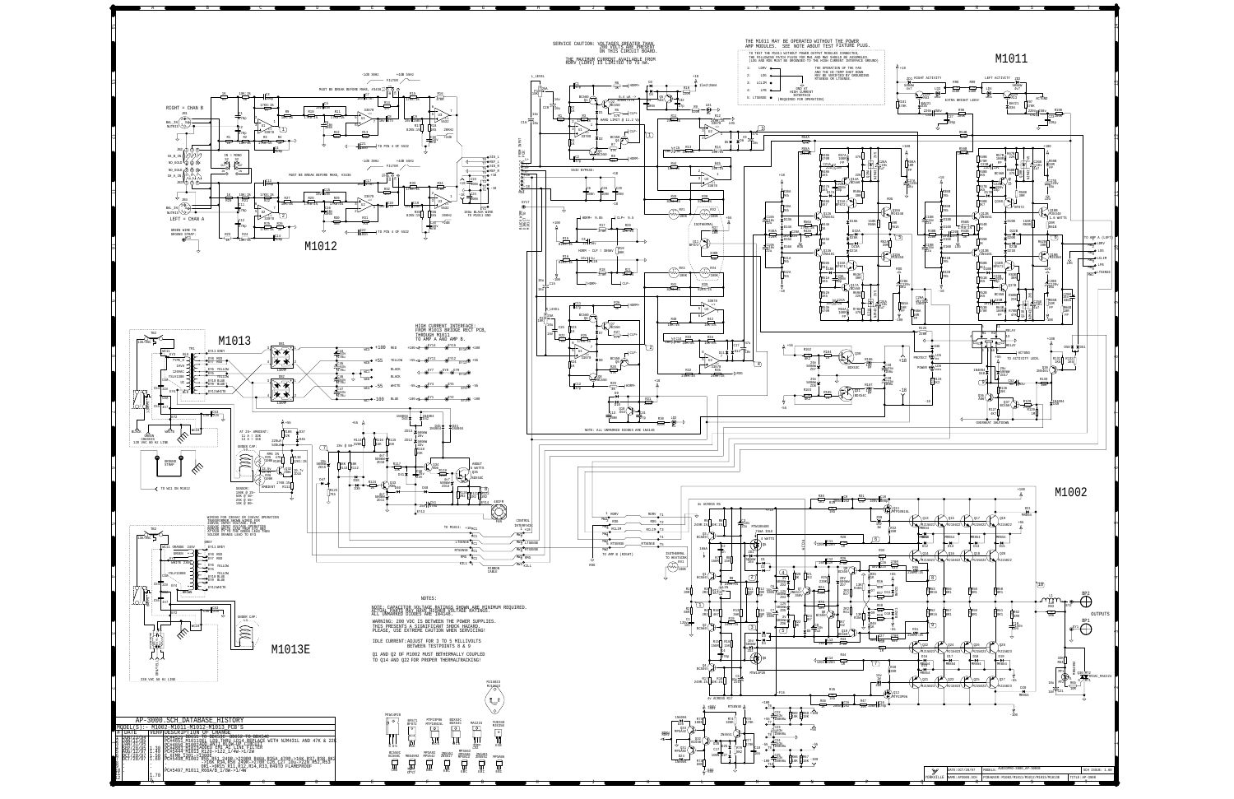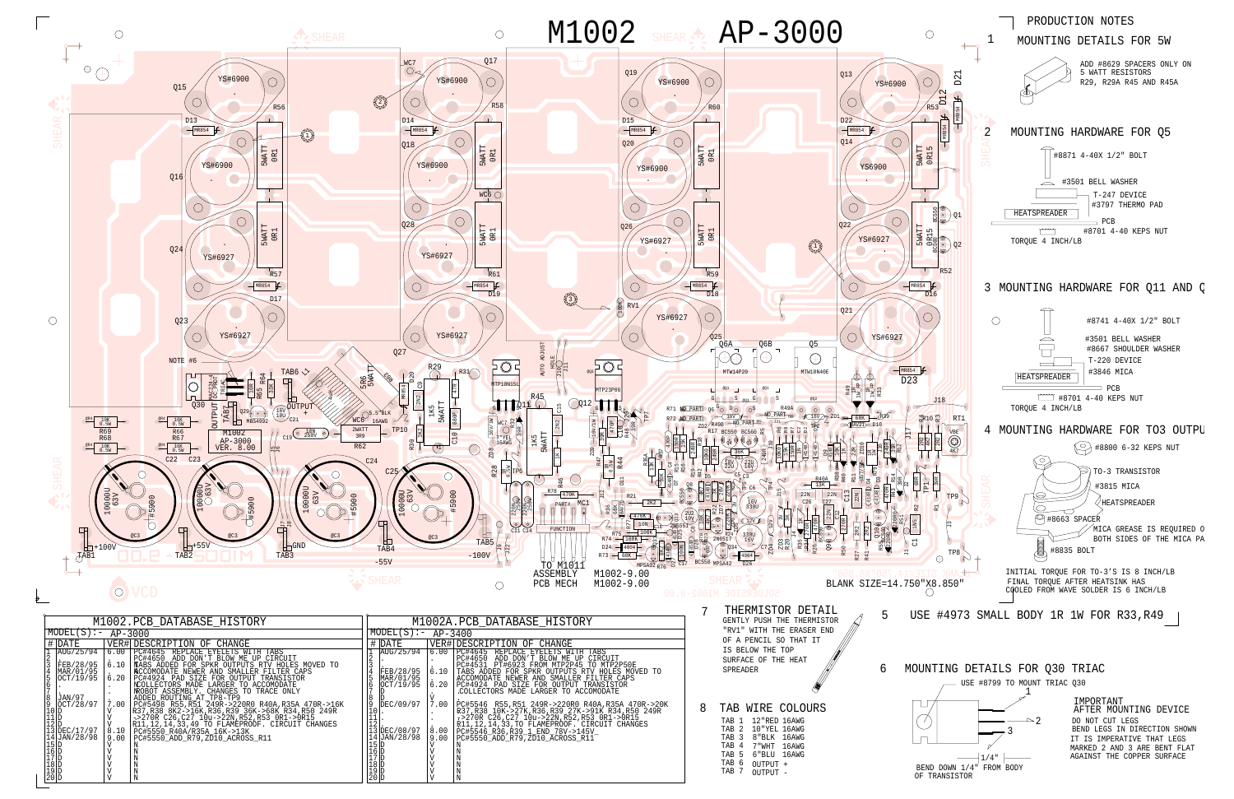¢

DDDDDD

DD

D<br>DEC/17/97<br>JAN/28/98

VVVVVV8.10<br>9.00 V VV7.00 .

| <b>NCCOMODATE NEWER AND SMALLER FILTER CAPS</b>   | FEB/28/95                                      | 6.10 | TABS ADDED FOR SPKR OUTPUTS RTV HOLES MOVED TO    | SPREADER                 |
|---------------------------------------------------|------------------------------------------------|------|---------------------------------------------------|--------------------------|
| PC#4924 PAD SIZE FOR OUTPUT TRANSISTOR            | MAR/01/95                                      |      | ACCOMODATE NEWER AND SMALLER FILTER CAPS          |                          |
| NCOLLECTORS MADE LARGER TO ACCOMODATE             | OCT/19/95                                      | 6.20 | PC#4924 PAD SIZE FOR OUTPUT TRANSISTOR            |                          |
| NROBOT ASSEMBLY. CHANGES TO TRACE ONLY            |                                                |      | COLLECTORS MADE LARGER TO ACCOMODATE.             |                          |
| ADDED ROUTING AT TP8-TP9                          |                                                |      |                                                   |                          |
| PC#5498 R55, R51 249R->220R0 R40A, R35A 470R->16K | DEC/09/97                                      | 7.00 | PC#5546 R55, R51 249R->220R0 R40A, R35A 470R->20K |                          |
| R37,R38 8K2->16K,R36,R39 36K->68K R34,R50 249R    |                                                |      | R37,R38 10K->27K,R36,R39 27K->91K R34,R50 249R    | TAB WIRE COLOURS         |
| ->270R C26,C27 10u->22N,R52,R53 0R1->0R15         | + +                                            |      | ->270R C26, C27 10u->22N, R52, R53 0R1->0R15      |                          |
| R11,12,14,33,49 TO FLAMÉPROOF. CIRCUIT CHANGES    | ,王乙曰:                                          |      | R11, 12, 14, 33, TO FLAMEPROOF. CIRCUIT CHANGES   | 12"RED 16AWG<br>TAB 1    |
| PC#5550 R40A/R35A 16K->13K                        | 13 DEC/08/97                                   | 8.00 | PC#5546_R36,R39_1_END_78V->145V_                  | TAB 2 10"YEL 16AWG       |
| PC#5550_ADD_R79, ZD10_ACROSS_R11                  | 14 JAN/28/98                                   | 9.00 | PC#5550 ADD R79, ZD10 ACROSS R11                  | 8"BLK 16AWG<br>TAB 3     |
|                                                   |                                                |      |                                                   | 16AWG<br>7 "WHT<br>TAB 4 |
|                                                   |                                                |      |                                                   |                          |
|                                                   |                                                |      |                                                   | TAB 5 6"BLU 16AWG        |
|                                                   |                                                |      |                                                   | TAB 6<br>OUTPUT +        |
|                                                   | 15 D<br>16 D<br>17 D<br>18 D<br>19 D<br>12 O D |      |                                                   | TAB 7                    |
|                                                   |                                                |      |                                                   | OUTPUT -                 |
|                                                   |                                                |      |                                                   |                          |



AGAINST THE COPPER SURFACEMARKED 2 AND 3 ARE BENT FLAT IT IS IMPERATIVE THAT LEGS BEND LEGS IN DIRECTION SHOWN DO NOT CUT LEGSAFTER MOUNTING DEVICE IMPORTANT



JAN/97<br>OCT/28/97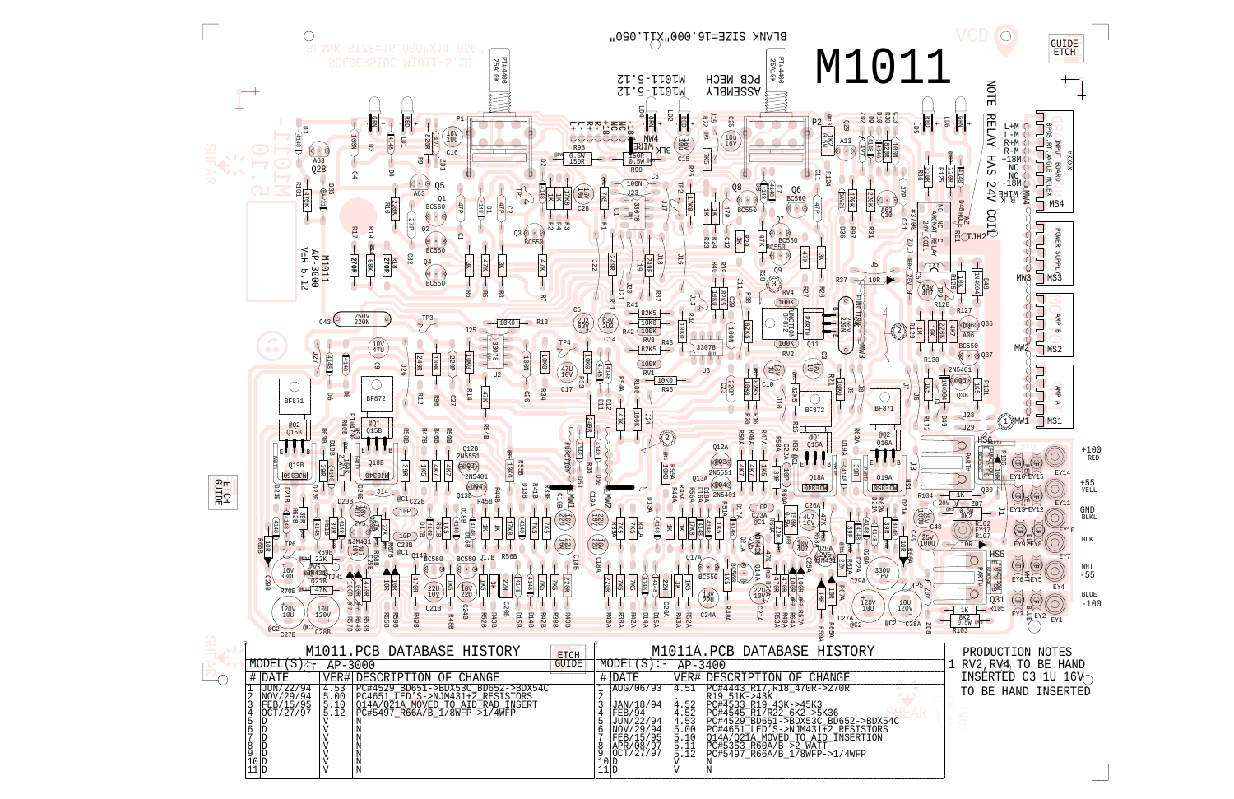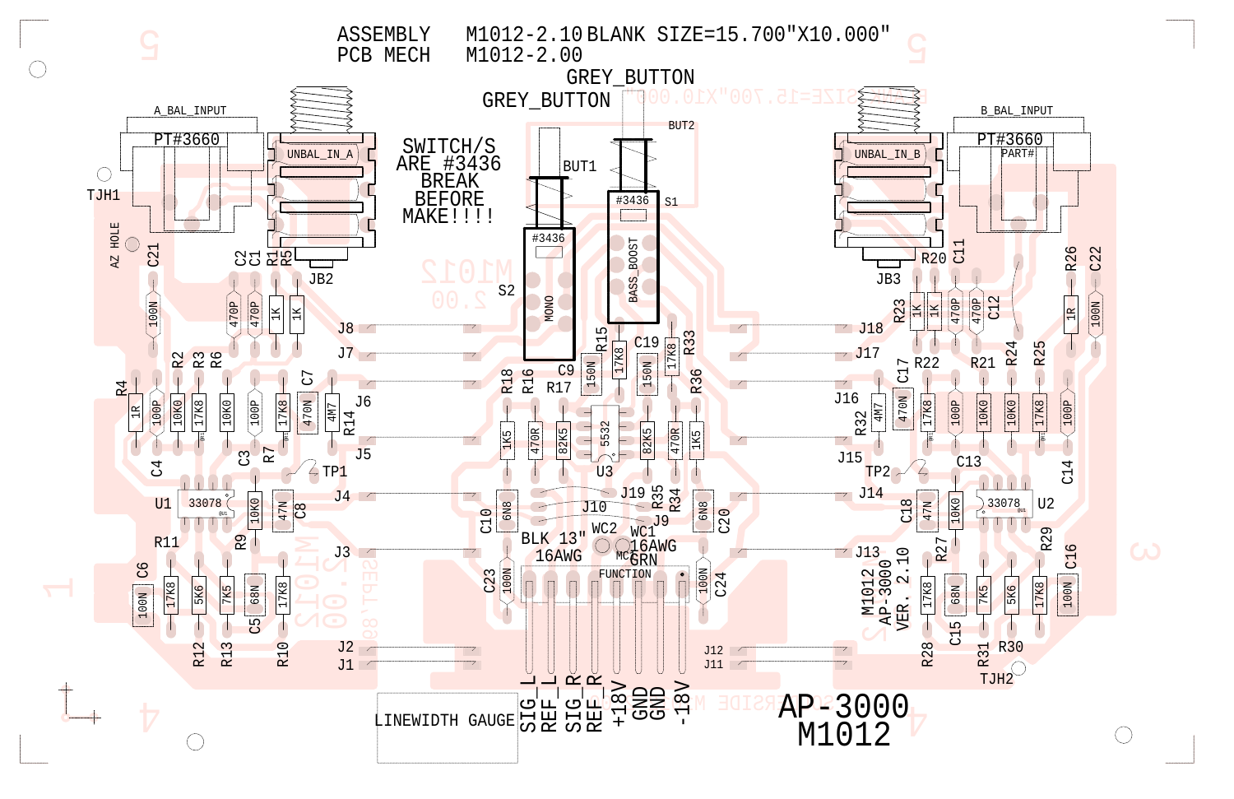